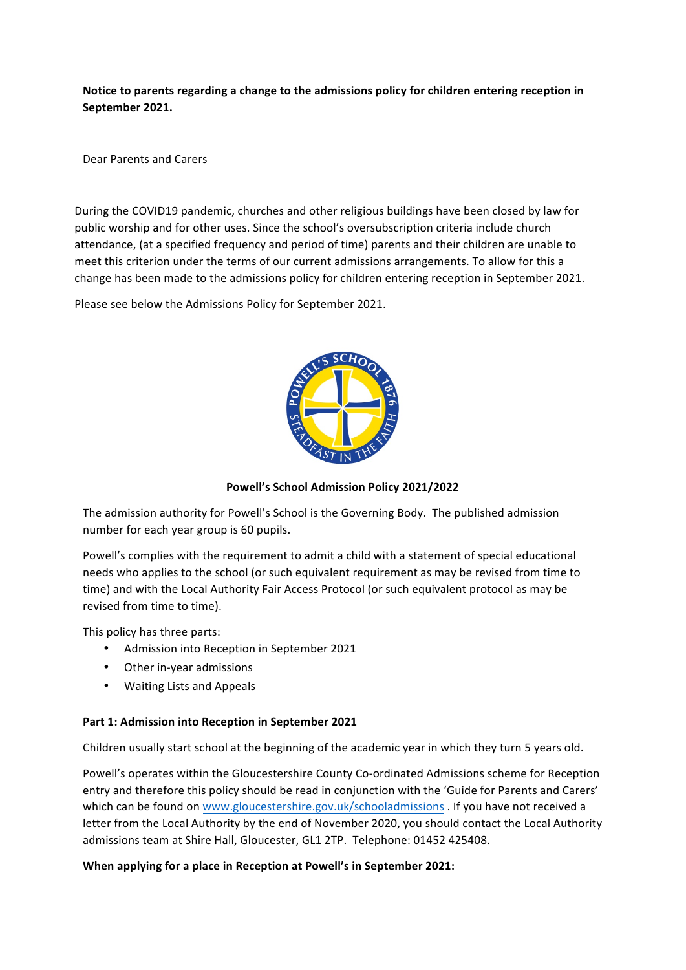Notice to parents regarding a change to the admissions policy for children entering reception in September 2021.

Dear Parents and Carers

During the COVID19 pandemic, churches and other religious buildings have been closed by law for public worship and for other uses. Since the school's oversubscription criteria include church attendance, (at a specified frequency and period of time) parents and their children are unable to meet this criterion under the terms of our current admissions arrangements. To allow for this a change has been made to the admissions policy for children entering reception in September 2021.

Please see below the Admissions Policy for September 2021.



Powell's School Admission Policy 2021/2022

The admission authority for Powell's School is the Governing Body. The published admission number for each year group is 60 pupils.

Powell's complies with the requirement to admit a child with a statement of special educational needs who applies to the school (or such equivalent requirement as may be revised from time to time) and with the Local Authority Fair Access Protocol (or such equivalent protocol as may be revised from time to time).

This policy has three parts:

- Admission into Reception in September 2021
- Other in-year admissions
- Waiting Lists and Appeals

# **Part 1: Admission into Reception in September 2021**

Children usually start school at the beginning of the academic year in which they turn 5 years old.

Powell's operates within the Gloucestershire County Co-ordinated Admissions scheme for Reception entry and therefore this policy should be read in conjunction with the 'Guide for Parents and Carers' which can be found on www.gloucestershire.gov.uk/schooladmissions . If you have not received a letter from the Local Authority by the end of November 2020, you should contact the Local Authority admissions team at Shire Hall, Gloucester, GL1 2TP. Telephone: 01452 425408.

## **When applying for a place in Reception at Powell's in September 2021:**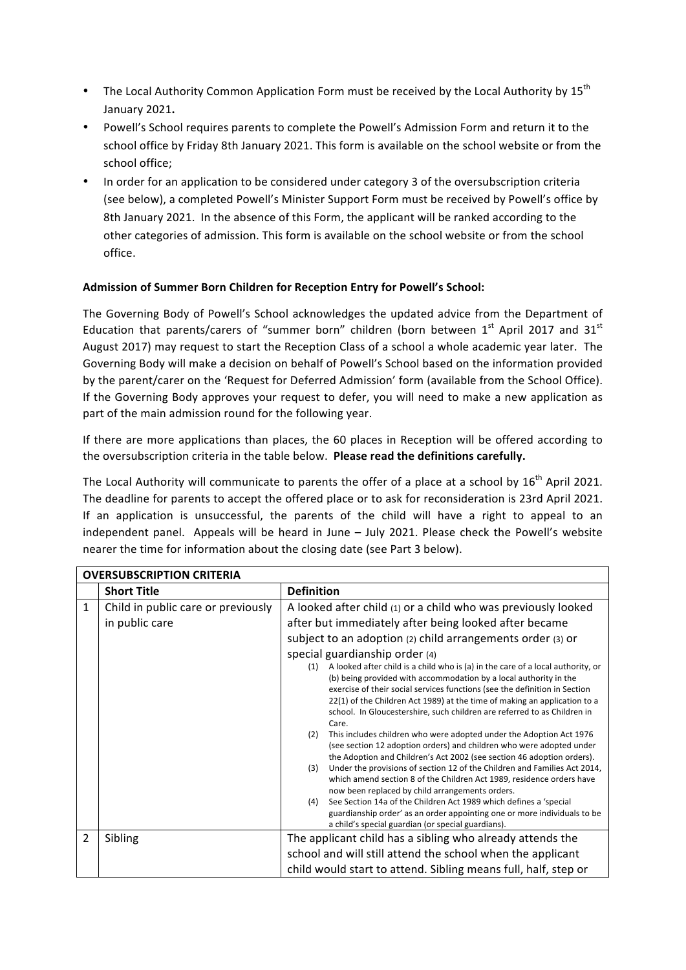- The Local Authority Common Application Form must be received by the Local Authority by  $15^{th}$ January 2021**.**
- Powell's School requires parents to complete the Powell's Admission Form and return it to the school office by Friday 8th January 2021. This form is available on the school website or from the school office;
- In order for an application to be considered under category 3 of the oversubscription criteria (see below), a completed Powell's Minister Support Form must be received by Powell's office by 8th January 2021. In the absence of this Form, the applicant will be ranked according to the other categories of admission. This form is available on the school website or from the school office.

# Admission of Summer Born Children for Reception Entry for Powell's School:

The Governing Body of Powell's School acknowledges the updated advice from the Department of Education that parents/carers of "summer born" children (born between  $1<sup>st</sup>$  April 2017 and  $31<sup>st</sup>$ August 2017) may request to start the Reception Class of a school a whole academic year later. The Governing Body will make a decision on behalf of Powell's School based on the information provided by the parent/carer on the 'Request for Deferred Admission' form (available from the School Office). If the Governing Body approves your request to defer, you will need to make a new application as part of the main admission round for the following year.

If there are more applications than places, the 60 places in Reception will be offered according to the oversubscription criteria in the table below. **Please read the definitions carefully.** 

The Local Authority will communicate to parents the offer of a place at a school by  $16^{th}$  April 2021. The deadline for parents to accept the offered place or to ask for reconsideration is 23rd April 2021. If an application is unsuccessful, the parents of the child will have a right to appeal to an independent panel. Appeals will be heard in June  $-$  July 2021. Please check the Powell's website nearer the time for information about the closing date (see Part 3 below).

| <b>OVERSUBSCRIPTION CRITERIA</b> |                                    |                                                                                                                                                                                                                                                                                                                                                                                                                                                                                                                                                                                                                                                                                                                                                                                                                                                                                                                                                                                                                                                                           |  |
|----------------------------------|------------------------------------|---------------------------------------------------------------------------------------------------------------------------------------------------------------------------------------------------------------------------------------------------------------------------------------------------------------------------------------------------------------------------------------------------------------------------------------------------------------------------------------------------------------------------------------------------------------------------------------------------------------------------------------------------------------------------------------------------------------------------------------------------------------------------------------------------------------------------------------------------------------------------------------------------------------------------------------------------------------------------------------------------------------------------------------------------------------------------|--|
|                                  | <b>Short Title</b>                 | <b>Definition</b>                                                                                                                                                                                                                                                                                                                                                                                                                                                                                                                                                                                                                                                                                                                                                                                                                                                                                                                                                                                                                                                         |  |
| 1                                | Child in public care or previously | A looked after child (1) or a child who was previously looked                                                                                                                                                                                                                                                                                                                                                                                                                                                                                                                                                                                                                                                                                                                                                                                                                                                                                                                                                                                                             |  |
|                                  | in public care                     | after but immediately after being looked after became                                                                                                                                                                                                                                                                                                                                                                                                                                                                                                                                                                                                                                                                                                                                                                                                                                                                                                                                                                                                                     |  |
|                                  |                                    | subject to an adoption (2) child arrangements order (3) or                                                                                                                                                                                                                                                                                                                                                                                                                                                                                                                                                                                                                                                                                                                                                                                                                                                                                                                                                                                                                |  |
|                                  |                                    | special guardianship order (4)                                                                                                                                                                                                                                                                                                                                                                                                                                                                                                                                                                                                                                                                                                                                                                                                                                                                                                                                                                                                                                            |  |
|                                  |                                    | A looked after child is a child who is (a) in the care of a local authority, or<br>(1)<br>(b) being provided with accommodation by a local authority in the<br>exercise of their social services functions (see the definition in Section<br>22(1) of the Children Act 1989) at the time of making an application to a<br>school. In Gloucestershire, such children are referred to as Children in<br>Care.<br>This includes children who were adopted under the Adoption Act 1976<br>(2)<br>(see section 12 adoption orders) and children who were adopted under<br>the Adoption and Children's Act 2002 (see section 46 adoption orders).<br>Under the provisions of section 12 of the Children and Families Act 2014,<br>(3)<br>which amend section 8 of the Children Act 1989, residence orders have<br>now been replaced by child arrangements orders.<br>See Section 14a of the Children Act 1989 which defines a 'special<br>(4)<br>guardianship order' as an order appointing one or more individuals to be<br>a child's special guardian (or special guardians). |  |
| $\overline{2}$                   | Sibling                            | The applicant child has a sibling who already attends the                                                                                                                                                                                                                                                                                                                                                                                                                                                                                                                                                                                                                                                                                                                                                                                                                                                                                                                                                                                                                 |  |
|                                  |                                    | school and will still attend the school when the applicant                                                                                                                                                                                                                                                                                                                                                                                                                                                                                                                                                                                                                                                                                                                                                                                                                                                                                                                                                                                                                |  |
|                                  |                                    | child would start to attend. Sibling means full, half, step or                                                                                                                                                                                                                                                                                                                                                                                                                                                                                                                                                                                                                                                                                                                                                                                                                                                                                                                                                                                                            |  |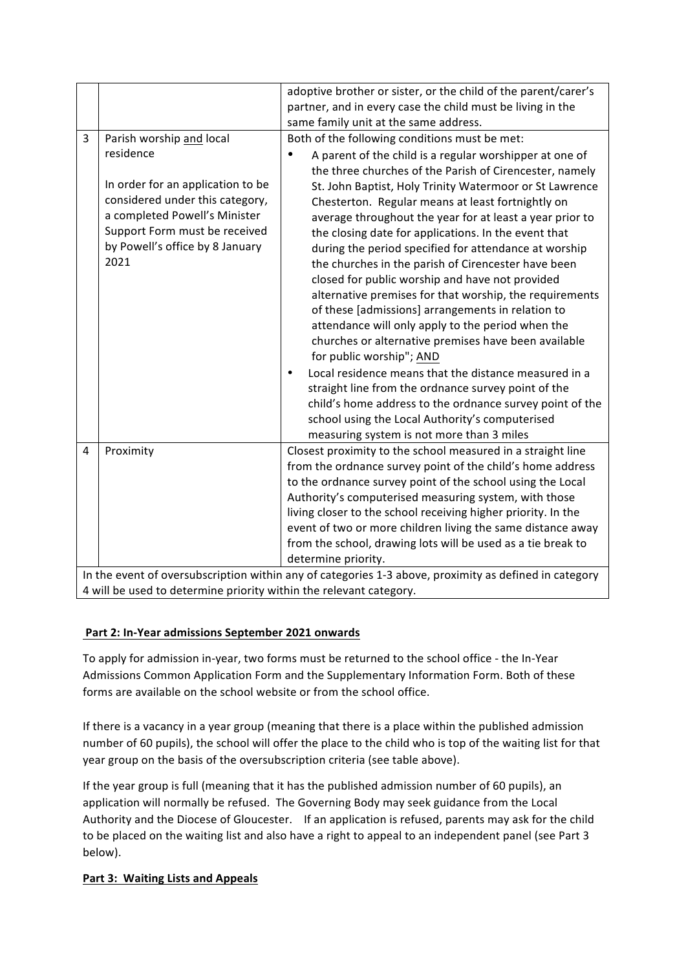|                                                                                                       |                                                                      | adoptive brother or sister, or the child of the parent/carer's<br>partner, and in every case the child must be living in the<br>same family unit at the same address. |  |
|-------------------------------------------------------------------------------------------------------|----------------------------------------------------------------------|-----------------------------------------------------------------------------------------------------------------------------------------------------------------------|--|
| 3                                                                                                     | Parish worship and local                                             | Both of the following conditions must be met:                                                                                                                         |  |
|                                                                                                       | residence                                                            | A parent of the child is a regular worshipper at one of<br>the three churches of the Parish of Cirencester, namely                                                    |  |
|                                                                                                       | In order for an application to be<br>considered under this category, | St. John Baptist, Holy Trinity Watermoor or St Lawrence<br>Chesterton. Regular means at least fortnightly on                                                          |  |
|                                                                                                       | a completed Powell's Minister                                        | average throughout the year for at least a year prior to                                                                                                              |  |
|                                                                                                       | Support Form must be received                                        | the closing date for applications. In the event that                                                                                                                  |  |
|                                                                                                       | by Powell's office by 8 January<br>2021                              | during the period specified for attendance at worship                                                                                                                 |  |
|                                                                                                       |                                                                      | the churches in the parish of Cirencester have been<br>closed for public worship and have not provided                                                                |  |
|                                                                                                       |                                                                      | alternative premises for that worship, the requirements                                                                                                               |  |
|                                                                                                       |                                                                      | of these [admissions] arrangements in relation to                                                                                                                     |  |
|                                                                                                       |                                                                      | attendance will only apply to the period when the                                                                                                                     |  |
|                                                                                                       |                                                                      | churches or alternative premises have been available                                                                                                                  |  |
|                                                                                                       |                                                                      | for public worship"; AND                                                                                                                                              |  |
|                                                                                                       |                                                                      | Local residence means that the distance measured in a                                                                                                                 |  |
|                                                                                                       |                                                                      | straight line from the ordnance survey point of the                                                                                                                   |  |
|                                                                                                       |                                                                      | child's home address to the ordnance survey point of the                                                                                                              |  |
|                                                                                                       |                                                                      | school using the Local Authority's computerised                                                                                                                       |  |
|                                                                                                       |                                                                      | measuring system is not more than 3 miles                                                                                                                             |  |
| 4                                                                                                     | Proximity                                                            | Closest proximity to the school measured in a straight line                                                                                                           |  |
|                                                                                                       |                                                                      | from the ordnance survey point of the child's home address                                                                                                            |  |
|                                                                                                       |                                                                      | to the ordnance survey point of the school using the Local<br>Authority's computerised measuring system, with those                                                   |  |
|                                                                                                       |                                                                      | living closer to the school receiving higher priority. In the                                                                                                         |  |
|                                                                                                       |                                                                      | event of two or more children living the same distance away                                                                                                           |  |
|                                                                                                       |                                                                      | from the school, drawing lots will be used as a tie break to                                                                                                          |  |
|                                                                                                       |                                                                      | determine priority.                                                                                                                                                   |  |
| In the event of oversubscription within any of categories 1-3 above, proximity as defined in category |                                                                      |                                                                                                                                                                       |  |
| 4 will be used to determine priority within the relevant category.                                    |                                                                      |                                                                                                                                                                       |  |

# Part 2: In-Year admissions September 2021 onwards

To apply for admission in-year, two forms must be returned to the school office - the In-Year Admissions Common Application Form and the Supplementary Information Form. Both of these forms are available on the school website or from the school office.

If there is a vacancy in a year group (meaning that there is a place within the published admission number of 60 pupils), the school will offer the place to the child who is top of the waiting list for that year group on the basis of the oversubscription criteria (see table above).

If the year group is full (meaning that it has the published admission number of 60 pupils), an application will normally be refused. The Governing Body may seek guidance from the Local Authority and the Diocese of Gloucester. If an application is refused, parents may ask for the child to be placed on the waiting list and also have a right to appeal to an independent panel (see Part 3 below). 

# Part 3: Waiting Lists and Appeals